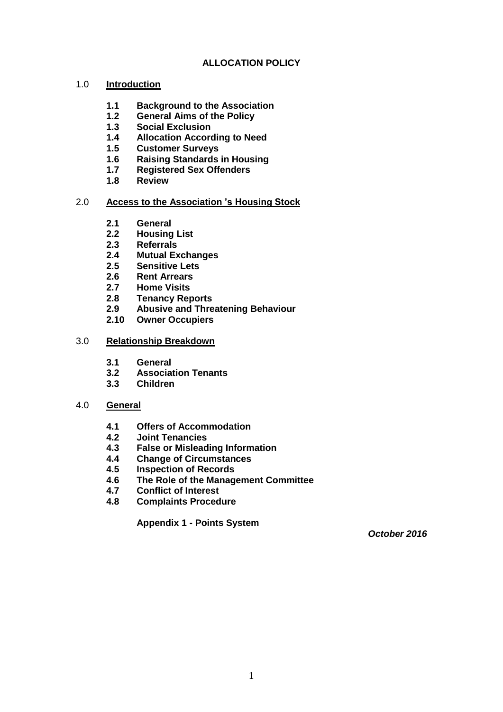## **ALLOCATION POLICY**

### 1.0 **Introduction**

- **1.1 Background to the Association**
- **1.2 General Aims of the Policy**
- **1.3 Social Exclusion**
- **1.4 Allocation According to Need**
- **1.5 Customer Surveys**
- **1.6 Raising Standards in Housing**
- **1.7 Registered Sex Offenders**
- **1.8 Review**

### 2.0 **Access to the Association 's Housing Stock**

- **2.1 General**
- **2.2 Housing List**
- **2.3 Referrals**
- **2.4 Mutual Exchanges**
- **2.5 Sensitive Lets**
- **2.6 Rent Arrears**
- **2.7 Home Visits**
- **2.8 Tenancy Reports**
- **2.9 Abusive and Threatening Behaviour**
- **2.10 Owner Occupiers**

### 3.0 **Relationship Breakdown**

- **3.1 General**
- **3.2 Association Tenants**
- **3.3 Children**

### 4.0 **General**

- **4.1 Offers of Accommodation**
- **4.2 Joint Tenancies**
- **4.3 False or Misleading Information**
- **4.4 Change of Circumstances**
- **4.5 Inspection of Records**
- **4.6 The Role of the Management Committee**
- **4.7 Conflict of Interest**
- **4.8 Complaints Procedure**

**Appendix 1 - Points System**

*October 2016*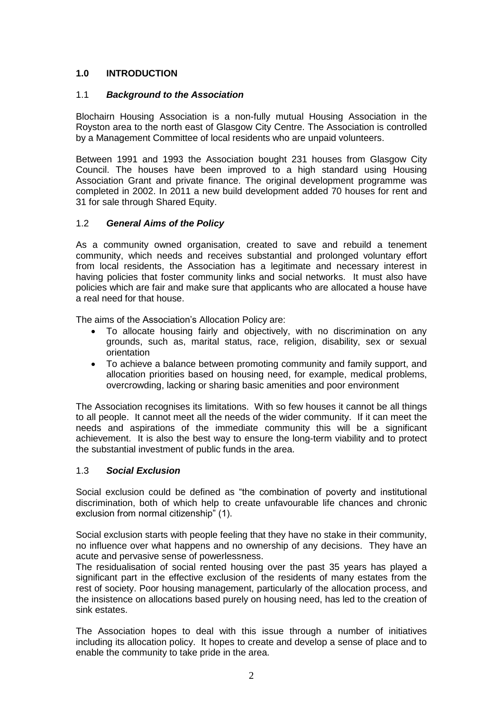# **1.0 INTRODUCTION**

### 1.1 *Background to the Association*

Blochairn Housing Association is a non-fully mutual Housing Association in the Royston area to the north east of Glasgow City Centre. The Association is controlled by a Management Committee of local residents who are unpaid volunteers.

Between 1991 and 1993 the Association bought 231 houses from Glasgow City Council. The houses have been improved to a high standard using Housing Association Grant and private finance. The original development programme was completed in 2002. In 2011 a new build development added 70 houses for rent and 31 for sale through Shared Equity.

## 1.2 *General Aims of the Policy*

As a community owned organisation, created to save and rebuild a tenement community, which needs and receives substantial and prolonged voluntary effort from local residents, the Association has a legitimate and necessary interest in having policies that foster community links and social networks. It must also have policies which are fair and make sure that applicants who are allocated a house have a real need for that house.

The aims of the Association's Allocation Policy are:

- To allocate housing fairly and objectively, with no discrimination on any grounds, such as, marital status, race, religion, disability, sex or sexual orientation
- To achieve a balance between promoting community and family support, and allocation priorities based on housing need, for example, medical problems, overcrowding, lacking or sharing basic amenities and poor environment

The Association recognises its limitations. With so few houses it cannot be all things to all people. It cannot meet all the needs of the wider community. If it can meet the needs and aspirations of the immediate community this will be a significant achievement. It is also the best way to ensure the long-term viability and to protect the substantial investment of public funds in the area.

### 1.3 *Social Exclusion*

Social exclusion could be defined as "the combination of poverty and institutional discrimination, both of which help to create unfavourable life chances and chronic exclusion from normal citizenship" (1).

Social exclusion starts with people feeling that they have no stake in their community, no influence over what happens and no ownership of any decisions. They have an acute and pervasive sense of powerlessness.

The residualisation of social rented housing over the past 35 years has played a significant part in the effective exclusion of the residents of many estates from the rest of society. Poor housing management, particularly of the allocation process, and the insistence on allocations based purely on housing need, has led to the creation of sink estates.

The Association hopes to deal with this issue through a number of initiatives including its allocation policy. It hopes to create and develop a sense of place and to enable the community to take pride in the area.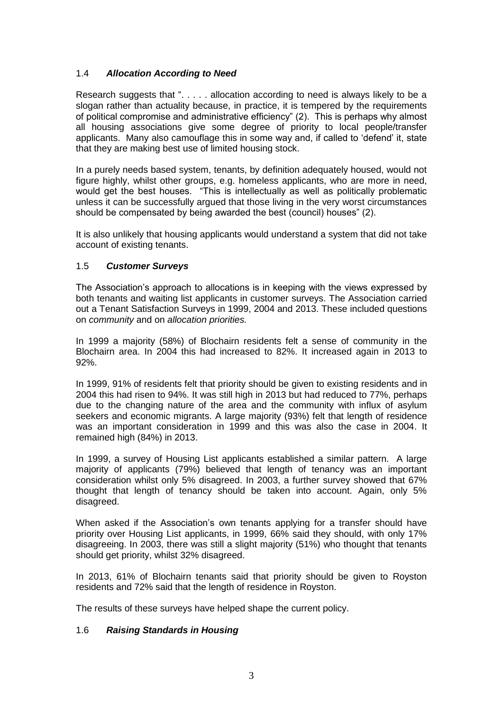## 1.4 *Allocation According to Need*

Research suggests that ". . . . . allocation according to need is always likely to be a slogan rather than actuality because, in practice, it is tempered by the requirements of political compromise and administrative efficiency" (2). This is perhaps why almost all housing associations give some degree of priority to local people/transfer applicants. Many also camouflage this in some way and, if called to 'defend' it, state that they are making best use of limited housing stock.

In a purely needs based system, tenants, by definition adequately housed, would not figure highly, whilst other groups, e.g. homeless applicants, who are more in need, would get the best houses. "This is intellectually as well as politically problematic unless it can be successfully argued that those living in the very worst circumstances should be compensated by being awarded the best (council) houses" (2).

It is also unlikely that housing applicants would understand a system that did not take account of existing tenants.

### 1.5 *Customer Surveys*

The Association's approach to allocations is in keeping with the views expressed by both tenants and waiting list applicants in customer surveys. The Association carried out a Tenant Satisfaction Surveys in 1999, 2004 and 2013. These included questions on *community* and on *allocation priorities.*

In 1999 a majority (58%) of Blochairn residents felt a sense of community in the Blochairn area. In 2004 this had increased to 82%. It increased again in 2013 to 92%.

In 1999, 91% of residents felt that priority should be given to existing residents and in 2004 this had risen to 94%. It was still high in 2013 but had reduced to 77%, perhaps due to the changing nature of the area and the community with influx of asylum seekers and economic migrants. A large majority (93%) felt that length of residence was an important consideration in 1999 and this was also the case in 2004. It remained high (84%) in 2013.

In 1999, a survey of Housing List applicants established a similar pattern. A large majority of applicants (79%) believed that length of tenancy was an important consideration whilst only 5% disagreed. In 2003, a further survey showed that 67% thought that length of tenancy should be taken into account. Again, only 5% disagreed.

When asked if the Association's own tenants applying for a transfer should have priority over Housing List applicants, in 1999, 66% said they should, with only 17% disagreeing. In 2003, there was still a slight majority (51%) who thought that tenants should get priority, whilst 32% disagreed.

In 2013, 61% of Blochairn tenants said that priority should be given to Royston residents and 72% said that the length of residence in Royston.

The results of these surveys have helped shape the current policy.

### 1.6 *Raising Standards in Housing*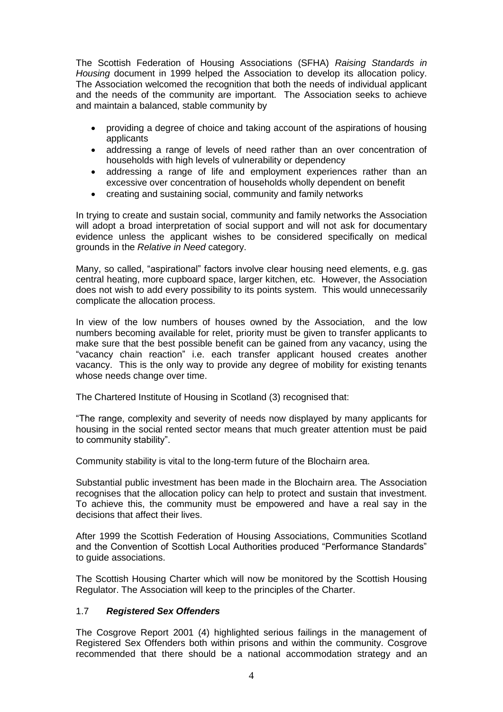The Scottish Federation of Housing Associations (SFHA) *Raising Standards in Housing* document in 1999 helped the Association to develop its allocation policy. The Association welcomed the recognition that both the needs of individual applicant and the needs of the community are important. The Association seeks to achieve and maintain a balanced, stable community by

- providing a degree of choice and taking account of the aspirations of housing applicants
- addressing a range of levels of need rather than an over concentration of households with high levels of vulnerability or dependency
- addressing a range of life and employment experiences rather than an excessive over concentration of households wholly dependent on benefit
- creating and sustaining social, community and family networks

In trying to create and sustain social, community and family networks the Association will adopt a broad interpretation of social support and will not ask for documentary evidence unless the applicant wishes to be considered specifically on medical grounds in the *Relative in Need* category.

Many, so called, "aspirational" factors involve clear housing need elements, e.g. gas central heating, more cupboard space, larger kitchen, etc. However, the Association does not wish to add every possibility to its points system. This would unnecessarily complicate the allocation process.

In view of the low numbers of houses owned by the Association, and the low numbers becoming available for relet, priority must be given to transfer applicants to make sure that the best possible benefit can be gained from any vacancy, using the "vacancy chain reaction" i.e. each transfer applicant housed creates another vacancy. This is the only way to provide any degree of mobility for existing tenants whose needs change over time.

The Chartered Institute of Housing in Scotland (3) recognised that:

"The range, complexity and severity of needs now displayed by many applicants for housing in the social rented sector means that much greater attention must be paid to community stability".

Community stability is vital to the long-term future of the Blochairn area.

Substantial public investment has been made in the Blochairn area. The Association recognises that the allocation policy can help to protect and sustain that investment. To achieve this, the community must be empowered and have a real say in the decisions that affect their lives.

After 1999 the Scottish Federation of Housing Associations, Communities Scotland and the Convention of Scottish Local Authorities produced "Performance Standards" to guide associations.

The Scottish Housing Charter which will now be monitored by the Scottish Housing Regulator. The Association will keep to the principles of the Charter.

# 1.7 *Registered Sex Offenders*

The Cosgrove Report 2001 (4) highlighted serious failings in the management of Registered Sex Offenders both within prisons and within the community. Cosgrove recommended that there should be a national accommodation strategy and an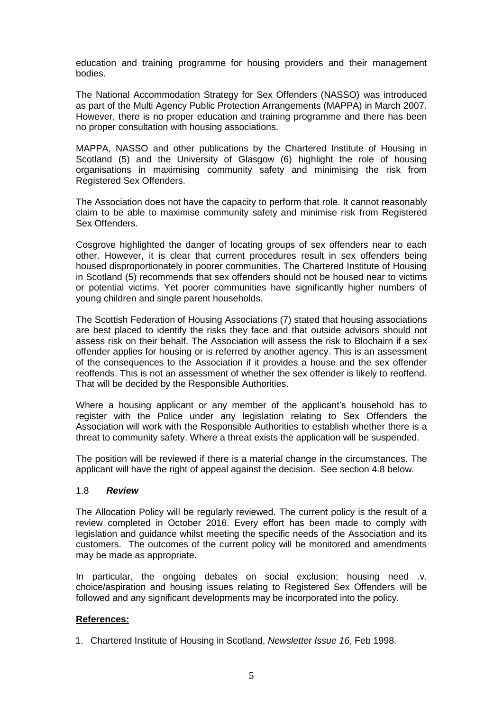education and training programme for housing providers and their management bodies.

The National Accommodation Strategy for Sex Offenders (NASSO) was introduced as part of the Multi Agency Public Protection Arrangements (MAPPA) in March 2007. However, there is no proper education and training programme and there has been no proper consultation with housing associations.

MAPPA, NASSO and other publications by the Chartered Institute of Housing in Scotland (5) and the University of Glasgow (6) highlight the role of housing organisations in maximising community safety and minimising the risk from Registered Sex Offenders.

The Association does not have the capacity to perform that role. It cannot reasonably claim to be able to maximise community safety and minimise risk from Registered Sex Offenders.

Cosgrove highlighted the danger of locating groups of sex offenders near to each other. However, it is clear that current procedures result in sex offenders being housed disproportionately in poorer communities. The Chartered Institute of Housing in Scotland (5) recommends that sex offenders should not be housed near to victims or potential victims. Yet poorer communities have significantly higher numbers of young children and single parent households.

The Scottish Federation of Housing Associations (7) stated that housing associations are best placed to identify the risks they face and that outside advisors should not assess risk on their behalf. The Association will assess the risk to Blochairn if a sex offender applies for housing or is referred by another agency. This is an assessment of the consequences to the Association if it provides a house and the sex offender reoffends. This is not an assessment of whether the sex offender is likely to reoffend. That will be decided by the Responsible Authorities.

Where a housing applicant or any member of the applicant's household has to register with the Police under any legislation relating to Sex Offenders the Association will work with the Responsible Authorities to establish whether there is a threat to community safety. Where a threat exists the application will be suspended.

The position will be reviewed if there is a material change in the circumstances. The applicant will have the right of appeal against the decision. See section 4.8 below.

### 1.8 *Review*

The Allocation Policy will be regularly reviewed. The current policy is the result of a review completed in October 2016. Every effort has been made to comply with legislation and guidance whilst meeting the specific needs of the Association and its customers. The outcomes of the current policy will be monitored and amendments may be made as appropriate.

In particular, the ongoing debates on social exclusion; housing need .v. choice/aspiration and housing issues relating to Registered Sex Offenders will be followed and any significant developments may be incorporated into the policy.

### **References:**

1. Chartered Institute of Housing in Scotland, *Newsletter Issue 16*, Feb 1998.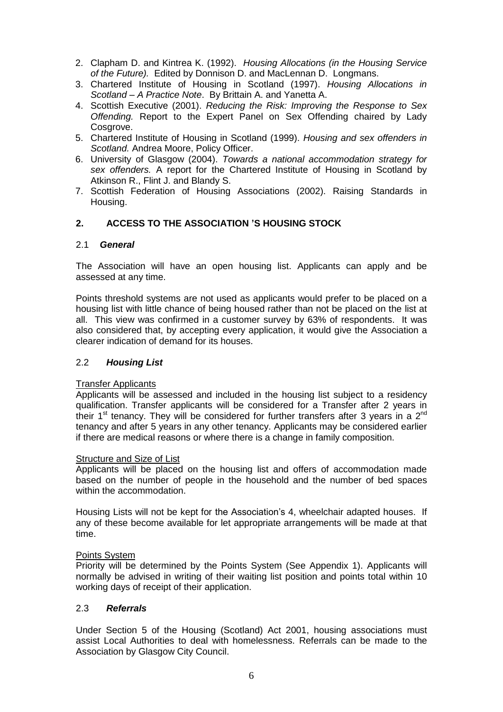- 2. Clapham D. and Kintrea K. (1992). *Housing Allocations (in the Housing Service of the Future).* Edited by Donnison D. and MacLennan D. Longmans.
- 3. Chartered Institute of Housing in Scotland (1997). *Housing Allocations in Scotland – A Practice Note*. By Brittain A. and Yanetta A.
- 4. Scottish Executive (2001). *Reducing the Risk: Improving the Response to Sex Offending.* Report to the Expert Panel on Sex Offending chaired by Lady Cosgrove.
- 5. Chartered Institute of Housing in Scotland (1999). *Housing and sex offenders in Scotland.* Andrea Moore, Policy Officer.
- 6. University of Glasgow (2004). *Towards a national accommodation strategy for sex offenders.* A report for the Chartered Institute of Housing in Scotland by Atkinson R., Flint J. and Blandy S.
- 7. Scottish Federation of Housing Associations (2002). Raising Standards in Housing.

## **2. ACCESS TO THE ASSOCIATION 'S HOUSING STOCK**

#### 2.1 *General*

The Association will have an open housing list. Applicants can apply and be assessed at any time.

Points threshold systems are not used as applicants would prefer to be placed on a housing list with little chance of being housed rather than not be placed on the list at all. This view was confirmed in a customer survey by 63% of respondents. It was also considered that, by accepting every application, it would give the Association a clearer indication of demand for its houses.

### 2.2 *Housing List*

#### Transfer Applicants

Applicants will be assessed and included in the housing list subject to a residency qualification. Transfer applicants will be considered for a Transfer after 2 years in their 1<sup>st</sup> tenancy. They will be considered for further transfers after 3 years in a  $2<sup>nd</sup>$ tenancy and after 5 years in any other tenancy. Applicants may be considered earlier if there are medical reasons or where there is a change in family composition.

#### Structure and Size of List

Applicants will be placed on the housing list and offers of accommodation made based on the number of people in the household and the number of bed spaces within the accommodation.

Housing Lists will not be kept for the Association's 4, wheelchair adapted houses. If any of these become available for let appropriate arrangements will be made at that time.

#### Points System

Priority will be determined by the Points System (See Appendix 1). Applicants will normally be advised in writing of their waiting list position and points total within 10 working days of receipt of their application.

### 2.3 *Referrals*

Under Section 5 of the Housing (Scotland) Act 2001, housing associations must assist Local Authorities to deal with homelessness. Referrals can be made to the Association by Glasgow City Council.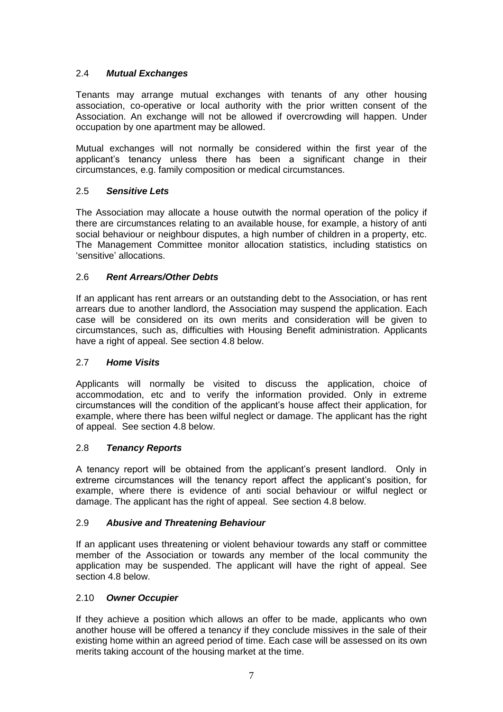## 2.4 *Mutual Exchanges*

Tenants may arrange mutual exchanges with tenants of any other housing association, co-operative or local authority with the prior written consent of the Association. An exchange will not be allowed if overcrowding will happen. Under occupation by one apartment may be allowed.

Mutual exchanges will not normally be considered within the first year of the applicant's tenancy unless there has been a significant change in their circumstances, e.g. family composition or medical circumstances.

## 2.5 *Sensitive Lets*

The Association may allocate a house outwith the normal operation of the policy if there are circumstances relating to an available house, for example, a history of anti social behaviour or neighbour disputes, a high number of children in a property, etc. The Management Committee monitor allocation statistics, including statistics on 'sensitive' allocations.

## 2.6 *Rent Arrears/Other Debts*

If an applicant has rent arrears or an outstanding debt to the Association, or has rent arrears due to another landlord, the Association may suspend the application. Each case will be considered on its own merits and consideration will be given to circumstances, such as, difficulties with Housing Benefit administration. Applicants have a right of appeal. See section 4.8 below.

### 2.7 *Home Visits*

Applicants will normally be visited to discuss the application, choice of accommodation, etc and to verify the information provided. Only in extreme circumstances will the condition of the applicant's house affect their application, for example, where there has been wilful neglect or damage. The applicant has the right of appeal. See section 4.8 below.

### 2.8 *Tenancy Reports*

A tenancy report will be obtained from the applicant's present landlord. Only in extreme circumstances will the tenancy report affect the applicant's position, for example, where there is evidence of anti social behaviour or wilful neglect or damage. The applicant has the right of appeal. See section 4.8 below.

### 2.9 *Abusive and Threatening Behaviour*

If an applicant uses threatening or violent behaviour towards any staff or committee member of the Association or towards any member of the local community the application may be suspended. The applicant will have the right of appeal. See section 4.8 below.

### 2.10 *Owner Occupier*

If they achieve a position which allows an offer to be made, applicants who own another house will be offered a tenancy if they conclude missives in the sale of their existing home within an agreed period of time. Each case will be assessed on its own merits taking account of the housing market at the time.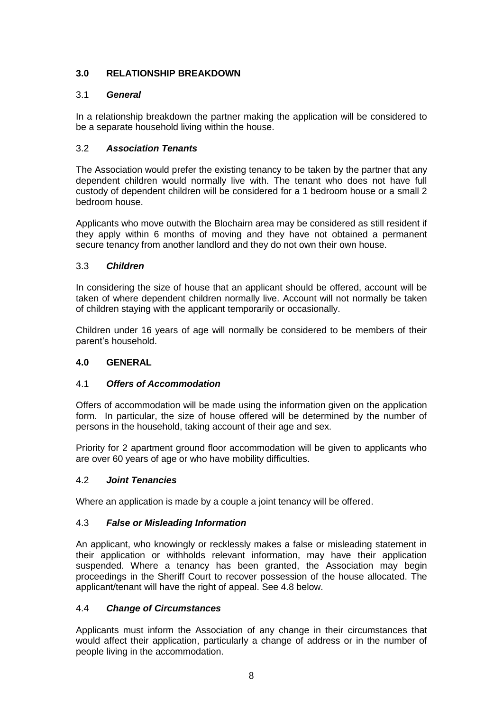# **3.0 RELATIONSHIP BREAKDOWN**

# 3.1 *General*

In a relationship breakdown the partner making the application will be considered to be a separate household living within the house.

## 3.2 *Association Tenants*

The Association would prefer the existing tenancy to be taken by the partner that any dependent children would normally live with. The tenant who does not have full custody of dependent children will be considered for a 1 bedroom house or a small 2 bedroom house.

Applicants who move outwith the Blochairn area may be considered as still resident if they apply within 6 months of moving and they have not obtained a permanent secure tenancy from another landlord and they do not own their own house.

## 3.3 *Children*

In considering the size of house that an applicant should be offered, account will be taken of where dependent children normally live. Account will not normally be taken of children staying with the applicant temporarily or occasionally.

Children under 16 years of age will normally be considered to be members of their parent's household.

# **4.0 GENERAL**

### 4.1 *Offers of Accommodation*

Offers of accommodation will be made using the information given on the application form. In particular, the size of house offered will be determined by the number of persons in the household, taking account of their age and sex.

Priority for 2 apartment ground floor accommodation will be given to applicants who are over 60 years of age or who have mobility difficulties.

### 4.2 *Joint Tenancies*

Where an application is made by a couple a joint tenancy will be offered.

### 4.3 *False or Misleading Information*

An applicant, who knowingly or recklessly makes a false or misleading statement in their application or withholds relevant information, may have their application suspended. Where a tenancy has been granted, the Association may begin proceedings in the Sheriff Court to recover possession of the house allocated. The applicant/tenant will have the right of appeal. See 4.8 below.

### 4.4 *Change of Circumstances*

Applicants must inform the Association of any change in their circumstances that would affect their application, particularly a change of address or in the number of people living in the accommodation.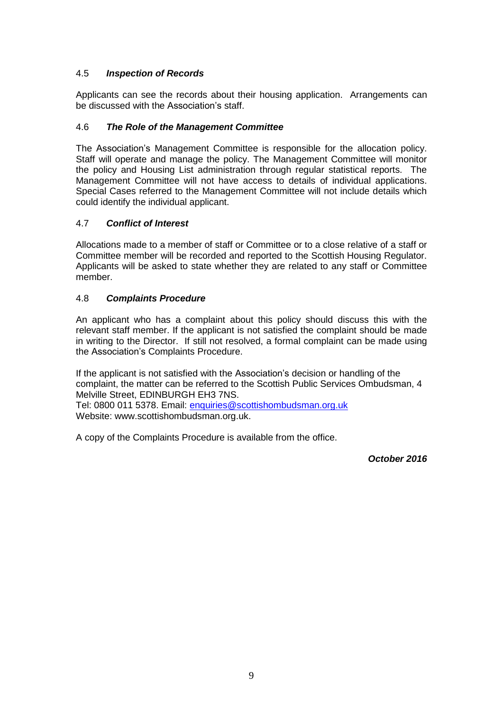# 4.5 *Inspection of Records*

Applicants can see the records about their housing application. Arrangements can be discussed with the Association's staff.

## 4.6 *The Role of the Management Committee*

The Association's Management Committee is responsible for the allocation policy. Staff will operate and manage the policy. The Management Committee will monitor the policy and Housing List administration through regular statistical reports. The Management Committee will not have access to details of individual applications. Special Cases referred to the Management Committee will not include details which could identify the individual applicant.

## 4.7 *Conflict of Interest*

Allocations made to a member of staff or Committee or to a close relative of a staff or Committee member will be recorded and reported to the Scottish Housing Regulator. Applicants will be asked to state whether they are related to any staff or Committee member.

## 4.8 *Complaints Procedure*

An applicant who has a complaint about this policy should discuss this with the relevant staff member. If the applicant is not satisfied the complaint should be made in writing to the Director. If still not resolved, a formal complaint can be made using the Association's Complaints Procedure.

If the applicant is not satisfied with the Association's decision or handling of the complaint, the matter can be referred to the Scottish Public Services Ombudsman, 4 Melville Street, EDINBURGH EH3 7NS.

Tel: 0800 011 5378. Email: [enquiries@scottishombudsman.org.uk](mailto:enquiries@scottishombudsman.org.uk) Website: www.scottishombudsman.org.uk.

A copy of the Complaints Procedure is available from the office.

*October 2016*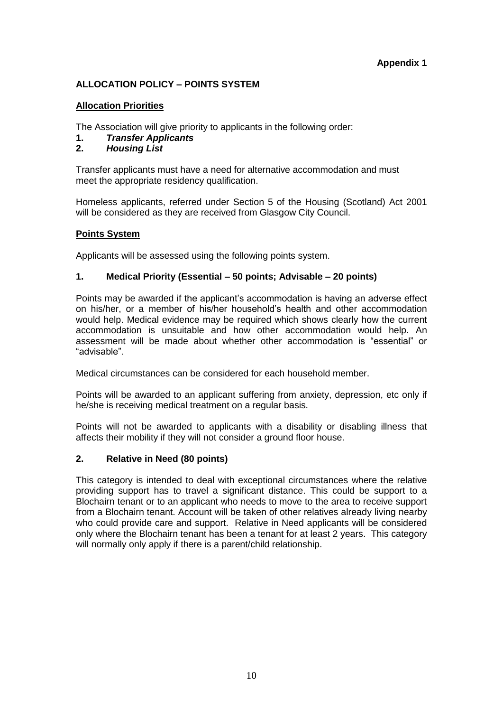### **Appendix 1**

## **ALLOCATION POLICY – POINTS SYSTEM**

#### **Allocation Priorities**

The Association will give priority to applicants in the following order:

- **1.** *Transfer Applicants*
- **2.** *Housing List*

Transfer applicants must have a need for alternative accommodation and must meet the appropriate residency qualification.

Homeless applicants, referred under Section 5 of the Housing (Scotland) Act 2001 will be considered as they are received from Glasgow City Council.

#### **Points System**

Applicants will be assessed using the following points system.

#### **1. Medical Priority (Essential – 50 points; Advisable – 20 points)**

Points may be awarded if the applicant's accommodation is having an adverse effect on his/her, or a member of his/her household's health and other accommodation would help. Medical evidence may be required which shows clearly how the current accommodation is unsuitable and how other accommodation would help. An assessment will be made about whether other accommodation is "essential" or "advisable".

Medical circumstances can be considered for each household member.

Points will be awarded to an applicant suffering from anxiety, depression, etc only if he/she is receiving medical treatment on a regular basis.

Points will not be awarded to applicants with a disability or disabling illness that affects their mobility if they will not consider a ground floor house.

### **2. Relative in Need (80 points)**

This category is intended to deal with exceptional circumstances where the relative providing support has to travel a significant distance. This could be support to a Blochairn tenant or to an applicant who needs to move to the area to receive support from a Blochairn tenant. Account will be taken of other relatives already living nearby who could provide care and support. Relative in Need applicants will be considered only where the Blochairn tenant has been a tenant for at least 2 years. This category will normally only apply if there is a parent/child relationship.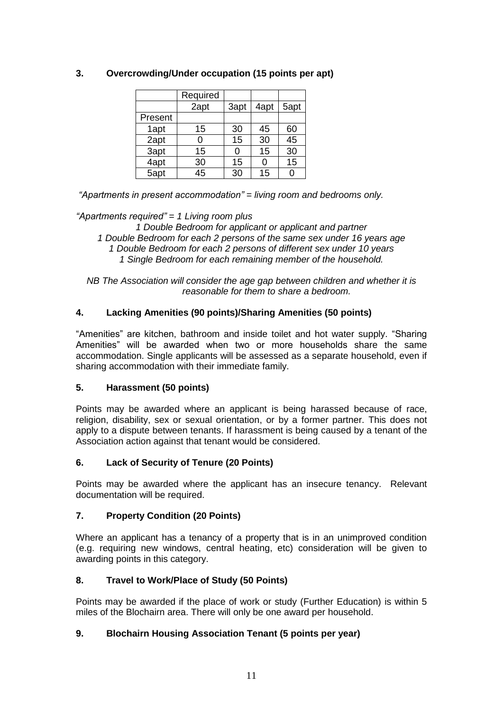|         | Required        |      |      |                 |
|---------|-----------------|------|------|-----------------|
|         | 2apt            | 3apt | 4apt | 5apt            |
| Present |                 |      |      |                 |
| 1apt    | 15              | 30   | 45   | 60              |
| 2apt    | ი               | 15   | 30   | $\overline{45}$ |
| 3apt    | 15              | ი    | 15   | 30              |
| 4apt    | 30              | 15   | 0    | 15              |
| $5$ apt | $\overline{45}$ | 30   | 15   |                 |

# **3. Overcrowding/Under occupation (15 points per apt)**

*"Apartments in present accommodation" = living room and bedrooms only.* 

## *"Apartments required" = 1 Living room plus*

*1 Double Bedroom for applicant or applicant and partner 1 Double Bedroom for each 2 persons of the same sex under 16 years age 1 Double Bedroom for each 2 persons of different sex under 10 years 1 Single Bedroom for each remaining member of the household.*

*NB The Association will consider the age gap between children and whether it is reasonable for them to share a bedroom.* 

# **4. Lacking Amenities (90 points)/Sharing Amenities (50 points)**

"Amenities" are kitchen, bathroom and inside toilet and hot water supply. "Sharing Amenities" will be awarded when two or more households share the same accommodation. Single applicants will be assessed as a separate household, even if sharing accommodation with their immediate family.

### **5. Harassment (50 points)**

Points may be awarded where an applicant is being harassed because of race, religion, disability, sex or sexual orientation, or by a former partner. This does not apply to a dispute between tenants. If harassment is being caused by a tenant of the Association action against that tenant would be considered.

### **6. Lack of Security of Tenure (20 Points)**

Points may be awarded where the applicant has an insecure tenancy. Relevant documentation will be required.

# **7. Property Condition (20 Points)**

Where an applicant has a tenancy of a property that is in an unimproved condition (e.g. requiring new windows, central heating, etc) consideration will be given to awarding points in this category.

### **8. Travel to Work/Place of Study (50 Points)**

Points may be awarded if the place of work or study (Further Education) is within 5 miles of the Blochairn area. There will only be one award per household.

# **9. Blochairn Housing Association Tenant (5 points per year)**